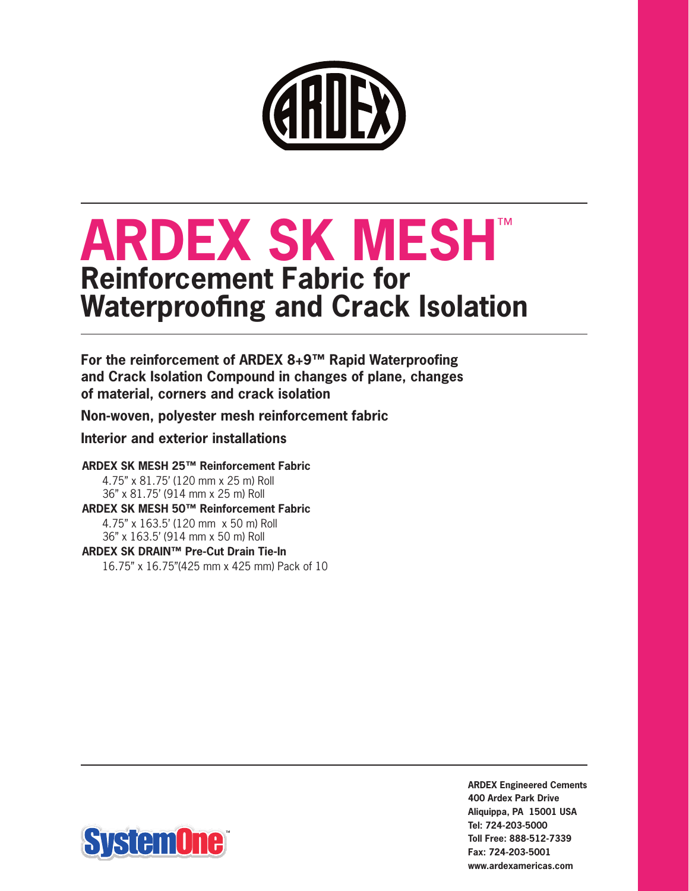

# **ARDEX SK MESH**™ **Reinforcement Fabric for Waterproofing and Crack Isolation**

**For the reinforcement of ARDEX 8+9™ Rapid Waterproofing and Crack Isolation Compound in changes of plane, changes of material, corners and crack isolation**

**Non-woven, polyester mesh reinforcement fabric**

# **Interior and exterior installations**

#### **ARDEX SK MESH 25™ Reinforcement Fabric**

4.75" x 81.75' (120 mm x 25 m) Roll 36" x 81.75' (914 mm x 25 m) Roll **ARDEX SK MESH 50™ Reinforcement Fabric** 4.75" x 163.5' (120 mm x 50 m) Roll 36" x 163.5' (914 mm x 50 m) Roll **ARDEX SK DRAIN™ Pre-Cut Drain Tie-In**

16.75" x 16.75"(425 mm x 425 mm) Pack of 10



**ARDEX Engineered Cements 400 Ardex Park Drive Aliquippa, PA 15001 USA Tel: 724-203-5000 Toll Free: 888-512-7339 Fax: 724-203-5001 www.ardexamericas.com**